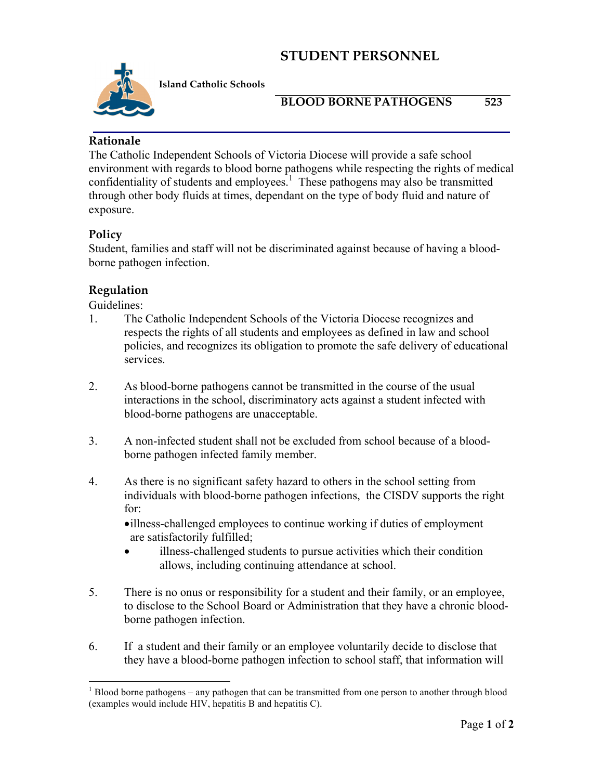# **STUDENT PERSONNEL**



**Island Catholic Schools** 

### **BLOOD BORNE PATHOGENS 523**

### **Rationale**

The Catholic Independent Schools of Victoria Diocese will provide a safe school environment with regards to blood borne pathogens while respecting the rights of medical confidentiality of students and employees.<sup>1</sup> These pathogens may also be transmitted through other body fluids at times, dependant on the type of body fluid and nature of exposure.

## **Policy**

Student, families and staff will not be discriminated against because of having a bloodborne pathogen infection.

## **Regulation**

Guidelines:

- 1. The Catholic Independent Schools of the Victoria Diocese recognizes and respects the rights of all students and employees as defined in law and school policies, and recognizes its obligation to promote the safe delivery of educational services.
- 2. As blood-borne pathogens cannot be transmitted in the course of the usual interactions in the school, discriminatory acts against a student infected with blood-borne pathogens are unacceptable.
- 3. A non-infected student shall not be excluded from school because of a bloodborne pathogen infected family member.
- 4. As there is no significant safety hazard to others in the school setting from individuals with blood-borne pathogen infections, the CISDV supports the right for:

•illness-challenged employees to continue working if duties of employment are satisfactorily fulfilled;

- illness-challenged students to pursue activities which their condition allows, including continuing attendance at school.
- 5. There is no onus or responsibility for a student and their family, or an employee, to disclose to the School Board or Administration that they have a chronic bloodborne pathogen infection.
- 6. If a student and their family or an employee voluntarily decide to disclose that they have a blood-borne pathogen infection to school staff, that information will

 $1$  Blood borne pathogens – any pathogen that can be transmitted from one person to another through blood (examples would include HIV, hepatitis B and hepatitis C).